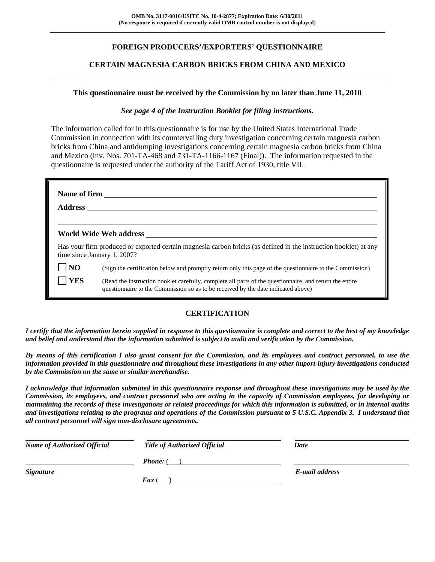## **FOREIGN PRODUCERS'/EXPORTERS' QUESTIONNAIRE**

## **CERTAIN MAGNESIA CARBON BRICKS FROM CHINA AND MEXICO**

### **This questionnaire must be received by the Commission by no later than June 11, 2010**

## *See page 4 of the Instruction Booklet for filing instructions.*

The information called for in this questionnaire is for use by the United States International Trade Commission in connection with its countervailing duty investigation concerning certain magnesia carbon bricks from China and antidumping investigations concerning certain magnesia carbon bricks from China and Mexico (inv. Nos. 701-TA-468 and 731-TA-1166-1167 (Final)). The information requested in the questionnaire is requested under the authority of the Tariff Act of 1930, title VII.

|                | World Wide Web address                                                                                                                                                                       |
|----------------|----------------------------------------------------------------------------------------------------------------------------------------------------------------------------------------------|
|                | Has your firm produced or exported certain magnesia carbon bricks (as defined in the instruction booklet) at any<br>time since January 1, 2007?                                              |
| $\overline{N}$ | (Sign the certification below and promptly return only this page of the questionnaire to the Commission)                                                                                     |
| <b>YES</b>     | (Read the instruction booklet carefully, complete all parts of the questionnaire, and return the entire<br>questionnaire to the Commission so as to be received by the date indicated above) |

## **CERTIFICATION**

*I certify that the information herein supplied in response to this questionnaire is complete and correct to the best of my knowledge and belief and understand that the information submitted is subject to audit and verification by the Commission.* 

*By means of this certification I also grant consent for the Commission, and its employees and contract personnel, to use the information provided in this questionnaire and throughout these investigations in any other import-injury investigations conducted by the Commission on the same or similar merchandise.* 

*I acknowledge that information submitted in this questionnaire response and throughout these investigations may be used by the Commission, its employees, and contract personnel who are acting in the capacity of Commission employees, for developing or maintaining the records of these investigations or related proceedings for which this information is submitted, or in internal audits and investigations relating to the programs and operations of the Commission pursuant to 5 U.S.C. Appendix 3. I understand that all contract personnel will sign non-disclosure agreements.* 

| <b>Name of Authorized Official</b> | <b>Title of Authorized Official</b> | Date           |
|------------------------------------|-------------------------------------|----------------|
|                                    | <b>Phone:</b> (                     |                |
| <b>Signature</b>                   |                                     | E-mail address |
|                                    | <b>Fax</b> (                        |                |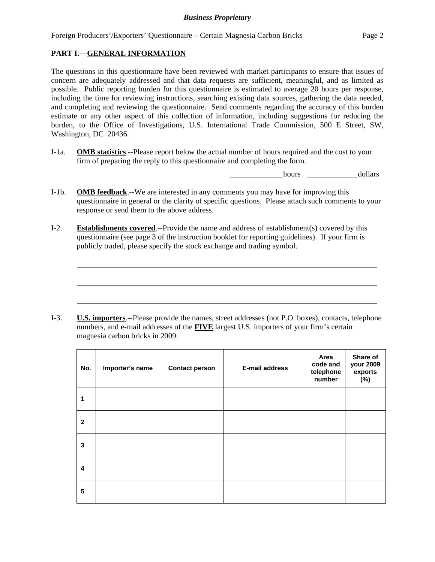Foreign Producers'/Exporters' Questionnaire – Certain Magnesia Carbon Bricks Page 2

## **PART I.—GENERAL INFORMATION**

 $\overline{a}$ 

 $\overline{a}$ 

 $\overline{a}$ 

The questions in this questionnaire have been reviewed with market participants to ensure that issues of concern are adequately addressed and that data requests are sufficient, meaningful, and as limited as possible. Public reporting burden for this questionnaire is estimated to average 20 hours per response, including the time for reviewing instructions, searching existing data sources, gathering the data needed, and completing and reviewing the questionnaire. Send comments regarding the accuracy of this burden estimate or any other aspect of this collection of information, including suggestions for reducing the burden, to the Office of Investigations, U.S. International Trade Commission, 500 E Street, SW, Washington, DC 20436.

I-1a. **OMB statistics**.--Please report below the actual number of hours required and the cost to your firm of preparing the reply to this questionnaire and completing the form.

hours dollars

- I-1b. **OMB feedback**.--We are interested in any comments you may have for improving this questionnaire in general or the clarity of specific questions. Please attach such comments to your response or send them to the above address.
- I-2. **Establishments covered**.--Provide the name and address of establishment(s) covered by this questionnaire (see page 3 of the instruction booklet for reporting guidelines). If your firm is publicly traded, please specify the stock exchange and trading symbol.

I-3. **U.S. importers**.--Please provide the names, street addresses (not P.O. boxes), contacts, telephone numbers, and e-mail addresses of the **FIVE** largest U.S. importers of your firm's certain magnesia carbon bricks in 2009.

| No.                     | Importer's name | <b>Contact person</b> | <b>E-mail address</b> | Area<br>code and<br>telephone<br>number | Share of<br>your 2009<br>exports<br>(%) |
|-------------------------|-----------------|-----------------------|-----------------------|-----------------------------------------|-----------------------------------------|
| 1                       |                 |                       |                       |                                         |                                         |
| $\mathbf{2}$            |                 |                       |                       |                                         |                                         |
| 3                       |                 |                       |                       |                                         |                                         |
| $\overline{\mathbf{4}}$ |                 |                       |                       |                                         |                                         |
| 5                       |                 |                       |                       |                                         |                                         |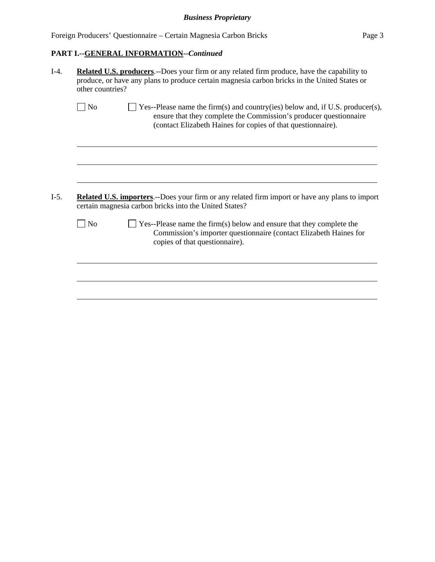| Foreign Producers' Questionnaire – Certain Magnesia Carbon Bricks | Page 3 |  |
|-------------------------------------------------------------------|--------|--|
|-------------------------------------------------------------------|--------|--|

# **PART I.--GENERAL INFORMATION***--Continued*

| other countries?  |                                                                                                                                                                                                                    |  |  |  |  |
|-------------------|--------------------------------------------------------------------------------------------------------------------------------------------------------------------------------------------------------------------|--|--|--|--|
| $\blacksquare$ No | Yes--Please name the firm(s) and country(ies) below and, if U.S. producer(s),<br>ensure that they complete the Commission's producer questionnaire<br>(contact Elizabeth Haines for copies of that questionnaire). |  |  |  |  |
|                   |                                                                                                                                                                                                                    |  |  |  |  |
|                   |                                                                                                                                                                                                                    |  |  |  |  |
|                   | <b>Related U.S. importers.</b> --Does your firm or any related firm import or have any plans to import<br>certain magnesia carbon bricks into the United States?                                                   |  |  |  |  |
| $\Box$ No         | Yes--Please name the firm(s) below and ensure that they complete the<br>Commission's importer questionnaire (contact Elizabeth Haines for<br>copies of that questionnaire).                                        |  |  |  |  |
|                   |                                                                                                                                                                                                                    |  |  |  |  |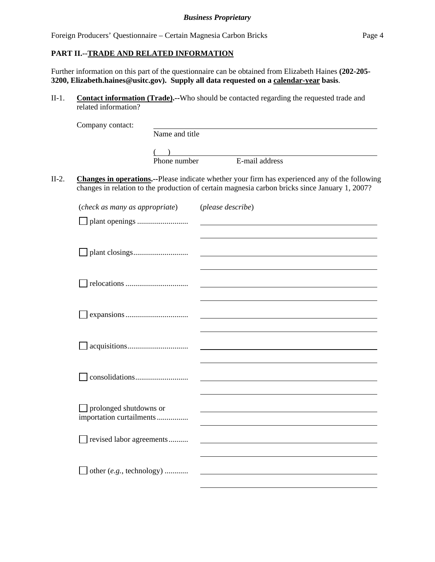Foreign Producers' Questionnaire – Certain Magnesia Carbon Bricks Page 4

## **PART II.--TRADE AND RELATED INFORMATION**

Further information on this part of the questionnaire can be obtained from Elizabeth Haines **(202-205- 3200, Elizabeth.haines@usitc.gov). Supply all data requested on a calendar-year basis**.

II-1. **Contact information (Trade).--**Who should be contacted regarding the requested trade and related information?

| Company contact: |                |                |  |
|------------------|----------------|----------------|--|
|                  | Name and title |                |  |
|                  |                |                |  |
|                  | Phone number   | E-mail address |  |
|                  |                |                |  |

II-2. **Changes in operations.--**Please indicate whether your firm has experienced any of the following changes in relation to the production of certain magnesia carbon bricks since January 1, 2007?

| (check as many as appropriate)                     | (please describe) |
|----------------------------------------------------|-------------------|
|                                                    |                   |
|                                                    |                   |
|                                                    |                   |
|                                                    |                   |
|                                                    |                   |
|                                                    |                   |
|                                                    |                   |
|                                                    |                   |
|                                                    |                   |
|                                                    |                   |
|                                                    |                   |
|                                                    |                   |
| prolonged shutdowns or<br>importation curtailments |                   |
| revised labor agreements                           |                   |
|                                                    |                   |
| other (e.g., technology)                           |                   |
|                                                    |                   |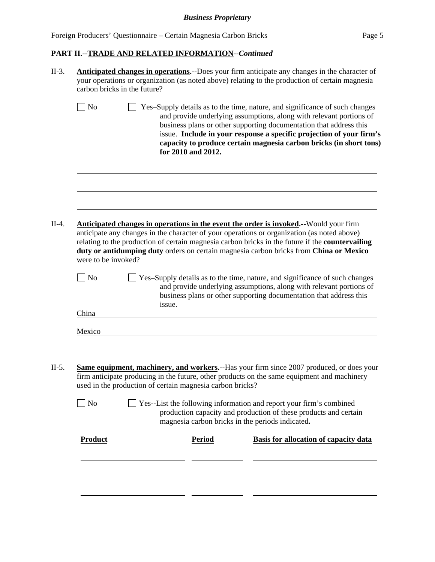## *Business Proprietary*

# **PART II.--TRADE AND RELATED INFORMATION***--Continued*

| $II-3.$ | <b>Anticipated changes in operations.</b> --Does your firm anticipate any changes in the character of<br>your operations or organization (as noted above) relating to the production of certain magnesia<br>carbon bricks in the future? |                                                           |                    |                                                                                                                                                                                                                                                                                                                                                                                            |  |
|---------|------------------------------------------------------------------------------------------------------------------------------------------------------------------------------------------------------------------------------------------|-----------------------------------------------------------|--------------------|--------------------------------------------------------------------------------------------------------------------------------------------------------------------------------------------------------------------------------------------------------------------------------------------------------------------------------------------------------------------------------------------|--|
|         | N <sub>o</sub>                                                                                                                                                                                                                           |                                                           | for 2010 and 2012. | Yes-Supply details as to the time, nature, and significance of such changes<br>and provide underlying assumptions, along with relevant portions of<br>business plans or other supporting documentation that address this<br>issue. Include in your response a specific projection of your firm's<br>capacity to produce certain magnesia carbon bricks (in short tons)                     |  |
|         |                                                                                                                                                                                                                                          |                                                           |                    |                                                                                                                                                                                                                                                                                                                                                                                            |  |
| $II-4.$ | were to be invoked?                                                                                                                                                                                                                      |                                                           |                    | <b>Anticipated changes in operations in the event the order is invoked.</b> --Would your firm<br>anticipate any changes in the character of your operations or organization (as noted above)<br>relating to the production of certain magnesia carbon bricks in the future if the countervailing<br>duty or antidumping duty orders on certain magnesia carbon bricks from China or Mexico |  |
|         | N <sub>o</sub>                                                                                                                                                                                                                           | issue.                                                    |                    | Yes-Supply details as to the time, nature, and significance of such changes<br>and provide underlying assumptions, along with relevant portions of<br>business plans or other supporting documentation that address this                                                                                                                                                                   |  |
|         | China                                                                                                                                                                                                                                    |                                                           |                    |                                                                                                                                                                                                                                                                                                                                                                                            |  |
|         | Mexico                                                                                                                                                                                                                                   |                                                           |                    |                                                                                                                                                                                                                                                                                                                                                                                            |  |
|         |                                                                                                                                                                                                                                          |                                                           |                    |                                                                                                                                                                                                                                                                                                                                                                                            |  |
| $II-5.$ |                                                                                                                                                                                                                                          | used in the production of certain magnesia carbon bricks? |                    | Same equipment, machinery, and workers.--Has your firm since 2007 produced, or does your<br>firm anticipate producing in the future, other products on the same equipment and machinery                                                                                                                                                                                                    |  |
|         | No                                                                                                                                                                                                                                       |                                                           |                    | Yes--List the following information and report your firm's combined<br>production capacity and production of these products and certain<br>magnesia carbon bricks in the periods indicated.                                                                                                                                                                                                |  |
|         | <b>Product</b>                                                                                                                                                                                                                           |                                                           | <b>Period</b>      | Basis for allocation of capacity data                                                                                                                                                                                                                                                                                                                                                      |  |
|         |                                                                                                                                                                                                                                          |                                                           |                    |                                                                                                                                                                                                                                                                                                                                                                                            |  |
|         |                                                                                                                                                                                                                                          |                                                           |                    |                                                                                                                                                                                                                                                                                                                                                                                            |  |
|         |                                                                                                                                                                                                                                          |                                                           |                    |                                                                                                                                                                                                                                                                                                                                                                                            |  |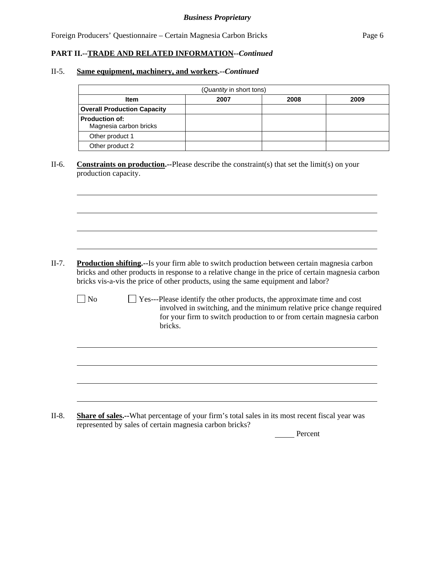## **PART II.--TRADE AND RELATED INFORMATION***--Continued*

#### II-5. **Same equipment, machinery, and workers.--***Continued*

 $\overline{a}$ 

l

| (Quantity in short tons)                        |      |      |      |  |  |  |  |
|-------------------------------------------------|------|------|------|--|--|--|--|
| <b>Item</b>                                     | 2007 | 2008 | 2009 |  |  |  |  |
| <b>Overall Production Capacity</b>              |      |      |      |  |  |  |  |
| <b>Production of:</b><br>Magnesia carbon bricks |      |      |      |  |  |  |  |
| Other product 1                                 |      |      |      |  |  |  |  |
| Other product 2                                 |      |      |      |  |  |  |  |

II-6. **Constraints on production.--**Please describe the constraint(s) that set the limit(s) on your production capacity.

- II-7. **Production shifting.--**Is your firm able to switch production between certain magnesia carbon bricks and other products in response to a relative change in the price of certain magnesia carbon bricks vis-a-vis the price of other products, using the same equipment and labor?
	- No Yes---Please identify the other products, the approximate time and cost involved in switching, and the minimum relative price change required for your firm to switch production to or from certain magnesia carbon bricks.

II-8. **Share of sales.--**What percentage of your firm's total sales in its most recent fiscal year was represented by sales of certain magnesia carbon bricks?

Percent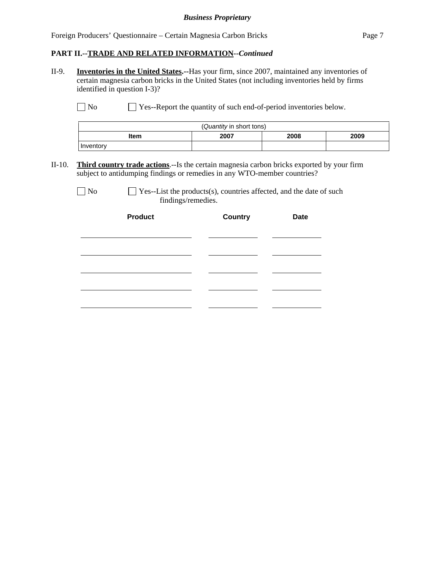## *Business Proprietary*

Foreign Producers' Questionnaire – Certain Magnesia Carbon Bricks Page 7

### **PART II.--TRADE AND RELATED INFORMATION***--Continued*

II-9. **Inventories in the United States.--**Has your firm, since 2007, maintained any inventories of certain magnesia carbon bricks in the United States (not including inventories held by firms identified in question I-3)?

No Ses-Report the quantity of such end-of-period inventories below.

| (Quantity in short tons)     |  |  |  |  |  |  |
|------------------------------|--|--|--|--|--|--|
| 2007<br>2008<br>2009<br>ltem |  |  |  |  |  |  |
| Inventory                    |  |  |  |  |  |  |

II-10. **Third country trade actions**.--Is the certain magnesia carbon bricks exported by your firm subject to antidumping findings or remedies in any WTO-member countries?

 $\Box$  No  $\Box$  Yes--List the products(s), countries affected, and the date of such findings/remedies.

| <b>Product</b> | <b>Country</b> | <b>Date</b> |
|----------------|----------------|-------------|
|                |                |             |
|                |                |             |
|                |                |             |
|                |                |             |
|                |                |             |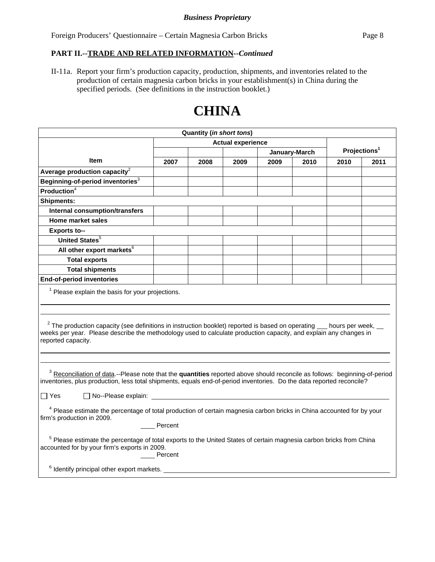Foreign Producers' Questionnaire – Certain Magnesia Carbon Bricks Page 8

## **PART II.--TRADE AND RELATED INFORMATION***--Continued*

II-11a. Report your firm's production capacity, production, shipments, and inventories related to the production of certain magnesia carbon bricks in your establishment(s) in China during the specified periods. (See definitions in the instruction booklet.)

# **CHINA**

| <b>Quantity (in short tons)</b>                                                                                                                                                                                                                                                                         |                                                                                                                                                                                                                                                 |      |                          |      |               |                          |      |
|---------------------------------------------------------------------------------------------------------------------------------------------------------------------------------------------------------------------------------------------------------------------------------------------------------|-------------------------------------------------------------------------------------------------------------------------------------------------------------------------------------------------------------------------------------------------|------|--------------------------|------|---------------|--------------------------|------|
|                                                                                                                                                                                                                                                                                                         |                                                                                                                                                                                                                                                 |      | <b>Actual experience</b> |      |               |                          |      |
|                                                                                                                                                                                                                                                                                                         |                                                                                                                                                                                                                                                 |      |                          |      | January-March | Projections <sup>1</sup> |      |
| <b>Item</b>                                                                                                                                                                                                                                                                                             | 2007                                                                                                                                                                                                                                            | 2008 | 2009                     | 2009 | 2010          | 2010                     | 2011 |
| Average production capacity $^2$                                                                                                                                                                                                                                                                        |                                                                                                                                                                                                                                                 |      |                          |      |               |                          |      |
| Beginning-of-period inventories <sup>3</sup>                                                                                                                                                                                                                                                            |                                                                                                                                                                                                                                                 |      |                          |      |               |                          |      |
| Production $4$                                                                                                                                                                                                                                                                                          |                                                                                                                                                                                                                                                 |      |                          |      |               |                          |      |
| <b>Shipments:</b>                                                                                                                                                                                                                                                                                       |                                                                                                                                                                                                                                                 |      |                          |      |               |                          |      |
| <b>Internal consumption/transfers</b>                                                                                                                                                                                                                                                                   |                                                                                                                                                                                                                                                 |      |                          |      |               |                          |      |
| <b>Home market sales</b>                                                                                                                                                                                                                                                                                |                                                                                                                                                                                                                                                 |      |                          |      |               |                          |      |
| <b>Exports to--</b>                                                                                                                                                                                                                                                                                     |                                                                                                                                                                                                                                                 |      |                          |      |               |                          |      |
| United States <sup>5</sup>                                                                                                                                                                                                                                                                              |                                                                                                                                                                                                                                                 |      |                          |      |               |                          |      |
| All other export markets <sup>6</sup>                                                                                                                                                                                                                                                                   |                                                                                                                                                                                                                                                 |      |                          |      |               |                          |      |
| <b>Total exports</b>                                                                                                                                                                                                                                                                                    |                                                                                                                                                                                                                                                 |      |                          |      |               |                          |      |
| <b>Total shipments</b>                                                                                                                                                                                                                                                                                  |                                                                                                                                                                                                                                                 |      |                          |      |               |                          |      |
| <b>End-of-period inventories</b>                                                                                                                                                                                                                                                                        |                                                                                                                                                                                                                                                 |      |                          |      |               |                          |      |
| $1$ Please explain the basis for your projections.                                                                                                                                                                                                                                                      |                                                                                                                                                                                                                                                 |      |                          |      |               |                          |      |
| reported capacity.                                                                                                                                                                                                                                                                                      | $2$ The production capacity (see definitions in instruction booklet) reported is based on operating $\_\_$ hours per week,<br>weeks per year. Please describe the methodology used to calculate production capacity, and explain any changes in |      |                          |      |               |                          |      |
| <sup>3</sup> Reconciliation of data.--Please note that the quantities reported above should reconcile as follows: beginning-of-period<br>inventories, plus production, less total shipments, equals end-of-period inventories. Do the data reported reconcile?<br>$\Box$ No--Please explain:<br>∣ I Yes |                                                                                                                                                                                                                                                 |      |                          |      |               |                          |      |
|                                                                                                                                                                                                                                                                                                         |                                                                                                                                                                                                                                                 |      |                          |      |               |                          |      |
| <sup>4</sup> Please estimate the percentage of total production of certain magnesia carbon bricks in China accounted for by your<br>firm's production in 2009.<br>Percent                                                                                                                               |                                                                                                                                                                                                                                                 |      |                          |      |               |                          |      |
| <sup>5</sup> Please estimate the percentage of total exports to the United States of certain magnesia carbon bricks from China<br>accounted for by your firm's exports in 2009.<br>Percent<br><sup>6</sup> Identify principal other export markets.                                                     |                                                                                                                                                                                                                                                 |      |                          |      |               |                          |      |
|                                                                                                                                                                                                                                                                                                         |                                                                                                                                                                                                                                                 |      |                          |      |               |                          |      |